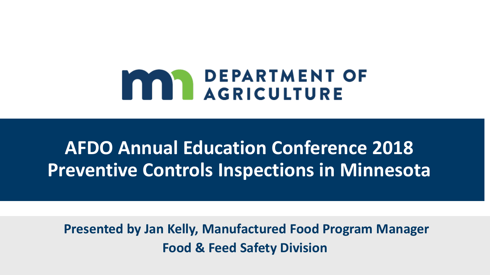# **MAN DEPARTMENT OF**

# **AFDO Annual Education Conference 2018 Preventive Controls Inspections in Minnesota**

**Presented by Jan Kelly, Manufactured Food Program Manager Food & Feed Safety Division**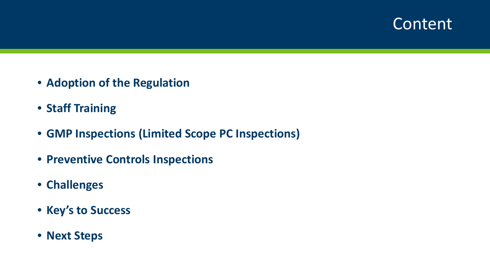#### Content

- **Adoption of the Regulation**
- **Staff Training**
- **GMP Inspections (Limited Scope PC Inspections)**
- **Preventive Controls Inspections**
- **Challenges**
- **Key's to Success**
- **Next Steps**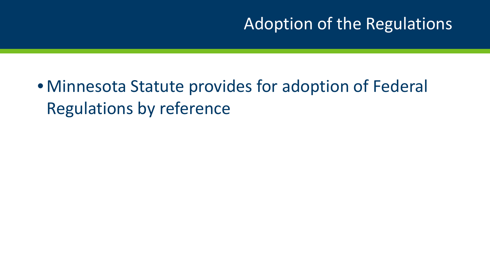## Adoption of the Regulations

# • Minnesota Statute provides for adoption of Federal Regulations by reference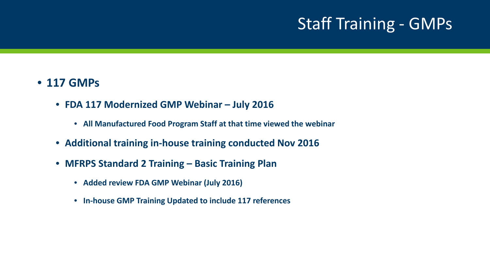# Staff Training - GMPs

#### • **117 GMPs**

- **FDA 117 Modernized GMP Webinar – July 2016**
	- **All Manufactured Food Program Staff at that time viewed the webinar**
- **Additional training in-house training conducted Nov 2016**
- **MFRPS Standard 2 Training – Basic Training Plan** 
	- **Added review FDA GMP Webinar (July 2016)**
	- **In-house GMP Training Updated to include 117 references**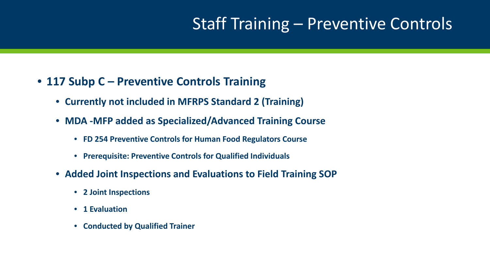## Staff Training – Preventive Controls

#### • **117 Subp C – Preventive Controls Training**

- **Currently not included in MFRPS Standard 2 (Training)**
- **MDA -MFP added as Specialized/Advanced Training Course**
	- **FD 254 Preventive Controls for Human Food Regulators Course**
	- **Prerequisite: Preventive Controls for Qualified Individuals**
- **Added Joint Inspections and Evaluations to Field Training SOP**
	- **2 Joint Inspections**
	- **1 Evaluation**
	- **Conducted by Qualified Trainer**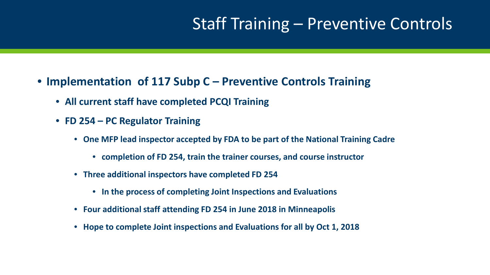#### Staff Training – Preventive Controls

- **Implementation of 117 Subp C – Preventive Controls Training**
	- **All current staff have completed PCQI Training**
	- **FD 254 – PC Regulator Training**
		- **One MFP lead inspector accepted by FDA to be part of the National Training Cadre** 
			- **completion of FD 254, train the trainer courses, and course instructor**
		- **Three additional inspectors have completed FD 254**
			- **In the process of completing Joint Inspections and Evaluations**
		- **Four additional staff attending FD 254 in June 2018 in Minneapolis**
		- **Hope to complete Joint inspections and Evaluations for all by Oct 1, 2018**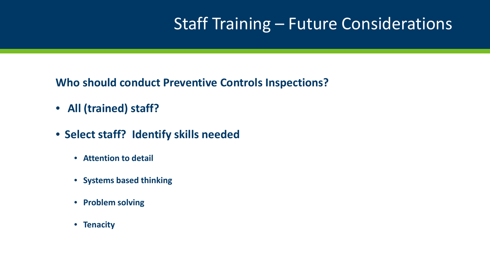## Staff Training – Future Considerations

**Who should conduct Preventive Controls Inspections?** 

- **All (trained) staff?**
- **Select staff? Identify skills needed**
	- **Attention to detail**
	- **Systems based thinking**
	- **Problem solving**
	- **Tenacity**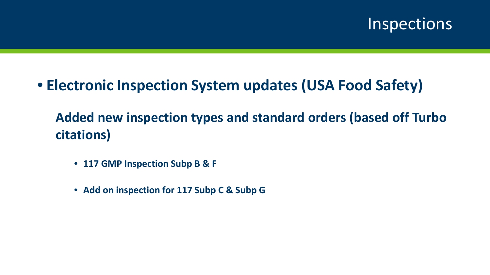

#### • **Electronic Inspection System updates (USA Food Safety)**

**Added new inspection types and standard orders (based off Turbo citations)**

- **117 GMP Inspection Subp B & F**
- **Add on inspection for 117 Subp C & Subp G**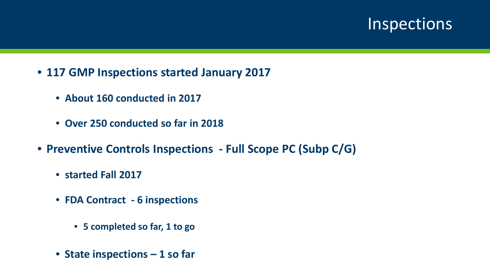#### **Inspections**

- **117 GMP Inspections started January 2017**
	- **About 160 conducted in 2017**
	- **Over 250 conducted so far in 2018**
- **Preventive Controls Inspections - Full Scope PC (Subp C/G)** 
	- **started Fall 2017**
	- **FDA Contract - 6 inspections**
		- **5 completed so far, 1 to go**
	- **State inspections – 1 so far**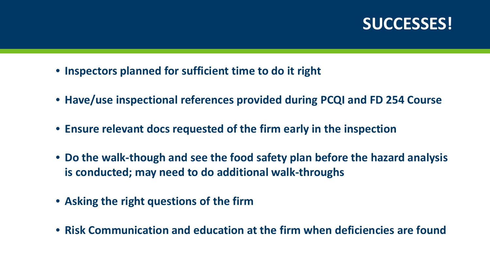#### **SUCCESSES!**

- **Inspectors planned for sufficient time to do it right**
- **Have/use inspectional references provided during PCQI and FD 254 Course**
- **Ensure relevant docs requested of the firm early in the inspection**
- **Do the walk-though and see the food safety plan before the hazard analysis is conducted; may need to do additional walk-throughs**
- **Asking the right questions of the firm**
- **Risk Communication and education at the firm when deficiencies are found**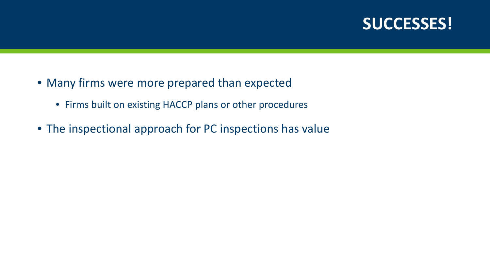#### **SUCCESSES!**

- Many firms were more prepared than expected
	- Firms built on existing HACCP plans or other procedures
- The inspectional approach for PC inspections has value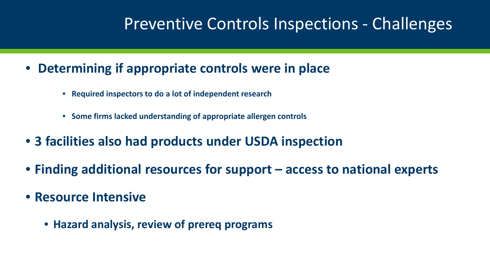## Preventive Controls Inspections - Challenges

- **Determining if appropriate controls were in place** 
	- **Required inspectors to do a lot of independent research**
	- **Some firms lacked understanding of appropriate allergen controls**
- **3 facilities also had products under USDA inspection**
- **Finding additional resources for support – access to national experts**
- **Resource Intensive** 
	- **Hazard analysis, review of prereq programs**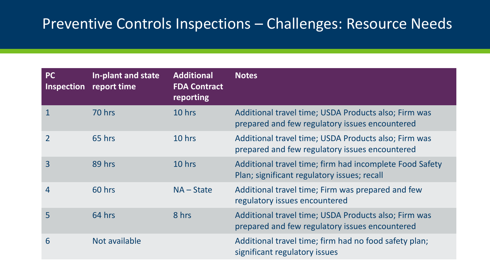#### Preventive Controls Inspections – Challenges: Resource Needs

| <b>PC</b><br><b>Inspection</b> | In-plant and state<br>report time | <b>Additional</b><br><b>FDA Contract</b><br>reporting | <b>Notes</b>                                                                                           |
|--------------------------------|-----------------------------------|-------------------------------------------------------|--------------------------------------------------------------------------------------------------------|
| 1                              | 70 hrs                            | 10 hrs                                                | Additional travel time; USDA Products also; Firm was<br>prepared and few regulatory issues encountered |
| $\overline{2}$                 | 65 hrs                            | 10 hrs                                                | Additional travel time; USDA Products also; Firm was<br>prepared and few regulatory issues encountered |
| 3                              | 89 hrs                            | 10 hrs                                                | Additional travel time; firm had incomplete Food Safety<br>Plan; significant regulatory issues; recall |
| $\overline{4}$                 | 60 hrs                            | $NA - State$                                          | Additional travel time; Firm was prepared and few<br>regulatory issues encountered                     |
| 5                              | 64 hrs                            | 8 hrs                                                 | Additional travel time; USDA Products also; Firm was<br>prepared and few regulatory issues encountered |
| 6                              | Not available                     |                                                       | Additional travel time; firm had no food safety plan;<br>significant regulatory issues                 |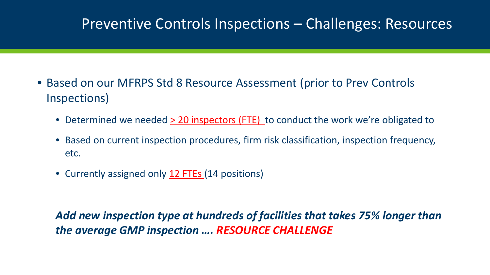#### Preventive Controls Inspections – Challenges: Resources

- Based on our MFRPS Std 8 Resource Assessment (prior to Prev Controls Inspections)
	- Determined we needed > 20 inspectors (FTE) to conduct the work we're obligated to
	- Based on current inspection procedures, firm risk classification, inspection frequency, etc.
	- Currently assigned only 12 FTEs (14 positions)

*Add new inspection type at hundreds of facilities that takes 75% longer than the average GMP inspection …. RESOURCE CHALLENGE*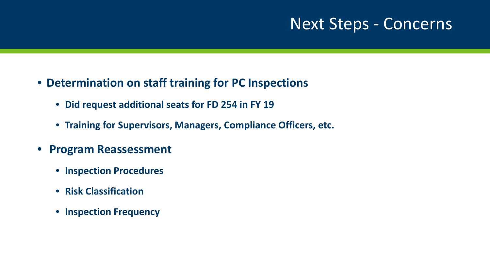#### Next Steps - Concerns

- **Determination on staff training for PC Inspections**
	- **Did request additional seats for FD 254 in FY 19**
	- **Training for Supervisors, Managers, Compliance Officers, etc.**
- **Program Reassessment**
	- **Inspection Procedures**
	- **Risk Classification**
	- **Inspection Frequency**